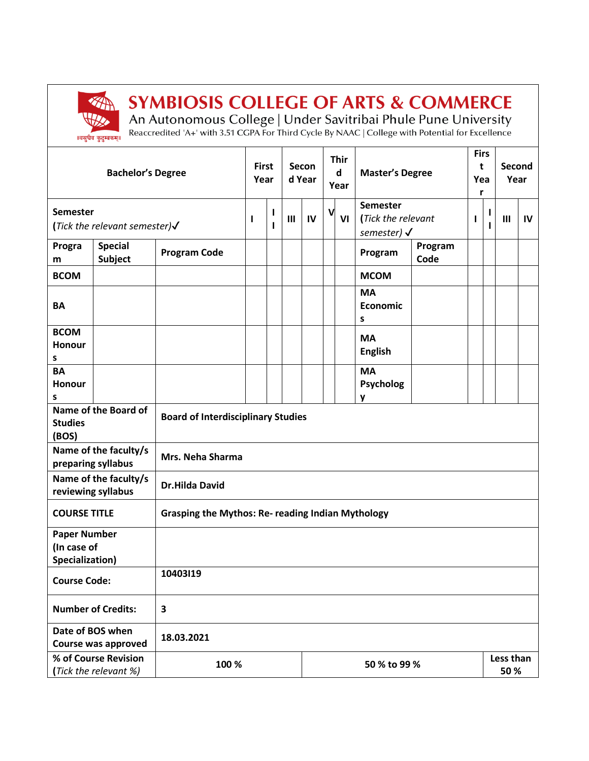

## **SYMBIOSIS COLLEGE OF ARTS & COMMERCE**

An Autonomous College | Under Savitribai Phule Pune University<br>Reaccredited 'A+' with 3.51 CGPA For Third Cycle By NAAC | College with Potential for Excellence

| <b>Bachelor's Degree</b>                                     |                                  |                                                          | <b>First</b><br>Year |   |    | Secon<br>d Year |    | <b>Thir</b><br>d<br>Year                                        | <b>Master's Degree</b>             |                 | <b>Firs</b><br>t<br>Yea<br>r |   | Second<br>Year |  |
|--------------------------------------------------------------|----------------------------------|----------------------------------------------------------|----------------------|---|----|-----------------|----|-----------------------------------------------------------------|------------------------------------|-----------------|------------------------------|---|----------------|--|
| <b>Semester</b><br>(Tick the relevant semester) $\checkmark$ |                                  | ı                                                        | ı<br>ı               | Ш | IV | V               | VI | <b>Semester</b><br>(Tick the relevant<br>semester) $\checkmark$ |                                    | ı               | L                            | Ш | IV             |  |
| Progra<br>m                                                  | <b>Special</b><br><b>Subject</b> | <b>Program Code</b>                                      |                      |   |    |                 |    |                                                                 | Program                            | Program<br>Code |                              |   |                |  |
| <b>BCOM</b>                                                  |                                  |                                                          |                      |   |    |                 |    |                                                                 | <b>MCOM</b>                        |                 |                              |   |                |  |
| BA                                                           |                                  |                                                          |                      |   |    |                 |    |                                                                 | <b>MA</b><br><b>Economic</b><br>s  |                 |                              |   |                |  |
| <b>BCOM</b><br><b>Honour</b><br>s                            |                                  |                                                          |                      |   |    |                 |    |                                                                 | <b>MA</b><br><b>English</b>        |                 |                              |   |                |  |
| <b>BA</b><br><b>Honour</b><br>s                              |                                  |                                                          |                      |   |    |                 |    |                                                                 | <b>MA</b><br><b>Psycholog</b><br>y |                 |                              |   |                |  |
| Name of the Board of<br><b>Studies</b><br>(BOS)              |                                  | <b>Board of Interdisciplinary Studies</b>                |                      |   |    |                 |    |                                                                 |                                    |                 |                              |   |                |  |
| Name of the faculty/s<br>preparing syllabus                  |                                  | Mrs. Neha Sharma                                         |                      |   |    |                 |    |                                                                 |                                    |                 |                              |   |                |  |
| Name of the faculty/s<br>reviewing syllabus                  |                                  | <b>Dr.Hilda David</b>                                    |                      |   |    |                 |    |                                                                 |                                    |                 |                              |   |                |  |
| <b>COURSE TITLE</b>                                          |                                  | <b>Grasping the Mythos: Re- reading Indian Mythology</b> |                      |   |    |                 |    |                                                                 |                                    |                 |                              |   |                |  |
| <b>Paper Number</b><br>(In case of<br>Specialization)        |                                  |                                                          |                      |   |    |                 |    |                                                                 |                                    |                 |                              |   |                |  |
| <b>Course Code:</b>                                          |                                  | 10403119                                                 |                      |   |    |                 |    |                                                                 |                                    |                 |                              |   |                |  |
| <b>Number of Credits:</b>                                    |                                  | 3                                                        |                      |   |    |                 |    |                                                                 |                                    |                 |                              |   |                |  |
| Date of BOS when<br>Course was approved                      |                                  | 18.03.2021                                               |                      |   |    |                 |    |                                                                 |                                    |                 |                              |   |                |  |
| % of Course Revision<br>(Tick the relevant %)                |                                  | 100 %                                                    |                      |   |    | 50 % to 99 %    |    |                                                                 |                                    |                 | Less than<br>50%             |   |                |  |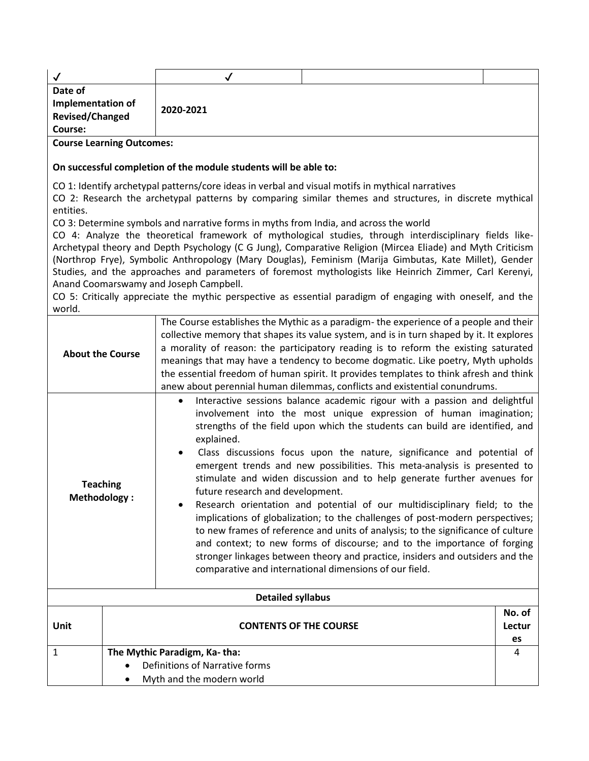|                                                                                                                                                                                                                                                                                                                                                                                                                                                                                                                                                               | ✓                                                                                                                                                                                                                                                                                                                                                                                                                                                                                                                                                                                                                                                                                                                                                                                                                                                                                                                                                                                                         |                                                                                                                                                                                                                                                                                                                                                                                                                                                                                                                                                                                                                                                                                                                                                                         |                        |  |  |  |  |
|---------------------------------------------------------------------------------------------------------------------------------------------------------------------------------------------------------------------------------------------------------------------------------------------------------------------------------------------------------------------------------------------------------------------------------------------------------------------------------------------------------------------------------------------------------------|-----------------------------------------------------------------------------------------------------------------------------------------------------------------------------------------------------------------------------------------------------------------------------------------------------------------------------------------------------------------------------------------------------------------------------------------------------------------------------------------------------------------------------------------------------------------------------------------------------------------------------------------------------------------------------------------------------------------------------------------------------------------------------------------------------------------------------------------------------------------------------------------------------------------------------------------------------------------------------------------------------------|-------------------------------------------------------------------------------------------------------------------------------------------------------------------------------------------------------------------------------------------------------------------------------------------------------------------------------------------------------------------------------------------------------------------------------------------------------------------------------------------------------------------------------------------------------------------------------------------------------------------------------------------------------------------------------------------------------------------------------------------------------------------------|------------------------|--|--|--|--|
| Date of<br>Implementation of<br><b>Revised/Changed</b><br>Course:                                                                                                                                                                                                                                                                                                                                                                                                                                                                                             | 2020-2021                                                                                                                                                                                                                                                                                                                                                                                                                                                                                                                                                                                                                                                                                                                                                                                                                                                                                                                                                                                                 |                                                                                                                                                                                                                                                                                                                                                                                                                                                                                                                                                                                                                                                                                                                                                                         |                        |  |  |  |  |
| <b>Course Learning Outcomes:</b>                                                                                                                                                                                                                                                                                                                                                                                                                                                                                                                              |                                                                                                                                                                                                                                                                                                                                                                                                                                                                                                                                                                                                                                                                                                                                                                                                                                                                                                                                                                                                           |                                                                                                                                                                                                                                                                                                                                                                                                                                                                                                                                                                                                                                                                                                                                                                         |                        |  |  |  |  |
|                                                                                                                                                                                                                                                                                                                                                                                                                                                                                                                                                               | On successful completion of the module students will be able to:                                                                                                                                                                                                                                                                                                                                                                                                                                                                                                                                                                                                                                                                                                                                                                                                                                                                                                                                          |                                                                                                                                                                                                                                                                                                                                                                                                                                                                                                                                                                                                                                                                                                                                                                         |                        |  |  |  |  |
| entities.<br>Anand Coomarswamy and Joseph Campbell.<br>world.                                                                                                                                                                                                                                                                                                                                                                                                                                                                                                 | CO 3: Determine symbols and narrative forms in myths from India, and across the world                                                                                                                                                                                                                                                                                                                                                                                                                                                                                                                                                                                                                                                                                                                                                                                                                                                                                                                     | CO 1: Identify archetypal patterns/core ideas in verbal and visual motifs in mythical narratives<br>CO 2: Research the archetypal patterns by comparing similar themes and structures, in discrete mythical<br>CO 4: Analyze the theoretical framework of mythological studies, through interdisciplinary fields like-<br>Archetypal theory and Depth Psychology (C G Jung), Comparative Religion (Mircea Eliade) and Myth Criticism<br>(Northrop Frye), Symbolic Anthropology (Mary Douglas), Feminism (Marija Gimbutas, Kate Millet), Gender<br>Studies, and the approaches and parameters of foremost mythologists like Heinrich Zimmer, Carl Kerenyi,<br>CO 5: Critically appreciate the mythic perspective as essential paradigm of engaging with oneself, and the |                        |  |  |  |  |
| The Course establishes the Mythic as a paradigm-the experience of a people and their<br>collective memory that shapes its value system, and is in turn shaped by it. It explores<br>a morality of reason: the participatory reading is to reform the existing saturated<br><b>About the Course</b><br>meanings that may have a tendency to become dogmatic. Like poetry, Myth upholds<br>the essential freedom of human spirit. It provides templates to think afresh and think<br>anew about perennial human dilemmas, conflicts and existential conundrums. |                                                                                                                                                                                                                                                                                                                                                                                                                                                                                                                                                                                                                                                                                                                                                                                                                                                                                                                                                                                                           |                                                                                                                                                                                                                                                                                                                                                                                                                                                                                                                                                                                                                                                                                                                                                                         |                        |  |  |  |  |
| <b>Teaching</b><br><b>Methodology:</b>                                                                                                                                                                                                                                                                                                                                                                                                                                                                                                                        | Interactive sessions balance academic rigour with a passion and delightful<br>$\bullet$<br>involvement into the most unique expression of human imagination;<br>strengths of the field upon which the students can build are identified, and<br>explained.<br>Class discussions focus upon the nature, significance and potential of<br>emergent trends and new possibilities. This meta-analysis is presented to<br>stimulate and widen discussion and to help generate further avenues for<br>future research and development.<br>Research orientation and potential of our multidisciplinary field; to the<br>implications of globalization; to the challenges of post-modern perspectives;<br>to new frames of reference and units of analysis; to the significance of culture<br>and context; to new forms of discourse; and to the importance of forging<br>stronger linkages between theory and practice, insiders and outsiders and the<br>comparative and international dimensions of our field. |                                                                                                                                                                                                                                                                                                                                                                                                                                                                                                                                                                                                                                                                                                                                                                         |                        |  |  |  |  |
|                                                                                                                                                                                                                                                                                                                                                                                                                                                                                                                                                               | <b>Detailed syllabus</b>                                                                                                                                                                                                                                                                                                                                                                                                                                                                                                                                                                                                                                                                                                                                                                                                                                                                                                                                                                                  |                                                                                                                                                                                                                                                                                                                                                                                                                                                                                                                                                                                                                                                                                                                                                                         |                        |  |  |  |  |
| Unit                                                                                                                                                                                                                                                                                                                                                                                                                                                                                                                                                          | <b>CONTENTS OF THE COURSE</b>                                                                                                                                                                                                                                                                                                                                                                                                                                                                                                                                                                                                                                                                                                                                                                                                                                                                                                                                                                             |                                                                                                                                                                                                                                                                                                                                                                                                                                                                                                                                                                                                                                                                                                                                                                         | No. of<br>Lectur<br>es |  |  |  |  |
| $\mathbf{1}$                                                                                                                                                                                                                                                                                                                                                                                                                                                                                                                                                  | The Mythic Paradigm, Ka-tha:                                                                                                                                                                                                                                                                                                                                                                                                                                                                                                                                                                                                                                                                                                                                                                                                                                                                                                                                                                              |                                                                                                                                                                                                                                                                                                                                                                                                                                                                                                                                                                                                                                                                                                                                                                         |                        |  |  |  |  |
|                                                                                                                                                                                                                                                                                                                                                                                                                                                                                                                                                               | Definitions of Narrative forms<br>Myth and the modern world                                                                                                                                                                                                                                                                                                                                                                                                                                                                                                                                                                                                                                                                                                                                                                                                                                                                                                                                               |                                                                                                                                                                                                                                                                                                                                                                                                                                                                                                                                                                                                                                                                                                                                                                         |                        |  |  |  |  |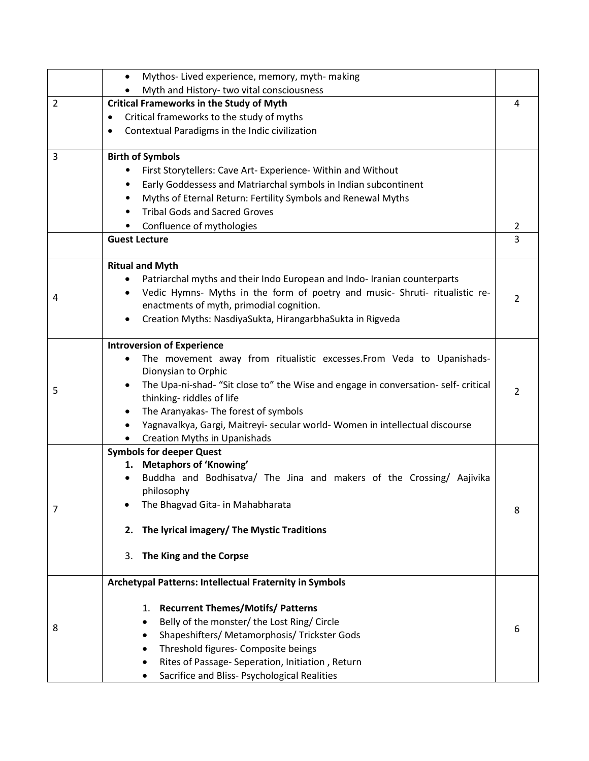|                | Mythos- Lived experience, memory, myth-making<br>$\bullet$                                   |   |  |  |  |  |
|----------------|----------------------------------------------------------------------------------------------|---|--|--|--|--|
|                | Myth and History- two vital consciousness                                                    |   |  |  |  |  |
| $\overline{2}$ | <b>Critical Frameworks in the Study of Myth</b><br>Critical frameworks to the study of myths |   |  |  |  |  |
|                |                                                                                              |   |  |  |  |  |
|                | Contextual Paradigms in the Indic civilization<br>٠                                          |   |  |  |  |  |
| 3              | <b>Birth of Symbols</b>                                                                      |   |  |  |  |  |
|                | First Storytellers: Cave Art- Experience- Within and Without                                 |   |  |  |  |  |
|                | Early Goddessess and Matriarchal symbols in Indian subcontinent<br>٠                         |   |  |  |  |  |
|                | Myths of Eternal Return: Fertility Symbols and Renewal Myths<br>٠                            |   |  |  |  |  |
|                | <b>Tribal Gods and Sacred Groves</b>                                                         |   |  |  |  |  |
|                | Confluence of mythologies                                                                    | 2 |  |  |  |  |
|                | <b>Guest Lecture</b>                                                                         | 3 |  |  |  |  |
|                | <b>Ritual and Myth</b>                                                                       |   |  |  |  |  |
|                | Patriarchal myths and their Indo European and Indo-Iranian counterparts<br>٠                 |   |  |  |  |  |
| 4              | Vedic Hymns- Myths in the form of poetry and music- Shruti- ritualistic re-<br>$\bullet$     | 2 |  |  |  |  |
|                | enactments of myth, primodial cognition.                                                     |   |  |  |  |  |
|                | Creation Myths: NasdiyaSukta, HirangarbhaSukta in Rigveda<br>٠                               |   |  |  |  |  |
|                | <b>Introversion of Experience</b>                                                            |   |  |  |  |  |
|                | The movement away from ritualistic excesses. From Veda to Upanishads-                        |   |  |  |  |  |
|                | Dionysian to Orphic                                                                          |   |  |  |  |  |
| 5              | The Upa-ni-shad- "Sit close to" the Wise and engage in conversation- self- critical          | 2 |  |  |  |  |
|                | thinking-riddles of life<br>The Aranyakas- The forest of symbols<br>$\bullet$                |   |  |  |  |  |
|                | Yagnavalkya, Gargi, Maitreyi- secular world- Women in intellectual discourse<br>٠            |   |  |  |  |  |
|                | <b>Creation Myths in Upanishads</b>                                                          |   |  |  |  |  |
|                | <b>Symbols for deeper Quest</b>                                                              |   |  |  |  |  |
|                | 1. Metaphors of 'Knowing'                                                                    |   |  |  |  |  |
|                | Buddha and Bodhisatva/ The Jina and makers of the Crossing/ Aajivika                         |   |  |  |  |  |
|                | philosophy                                                                                   |   |  |  |  |  |
| 7              | The Bhagvad Gita- in Mahabharata                                                             | 8 |  |  |  |  |
|                | The lyrical imagery/ The Mystic Traditions<br>2.                                             |   |  |  |  |  |
|                | The King and the Corpse<br>3.                                                                |   |  |  |  |  |
|                | Archetypal Patterns: Intellectual Fraternity in Symbols                                      |   |  |  |  |  |
|                | <b>Recurrent Themes/Motifs/ Patterns</b><br>1.                                               |   |  |  |  |  |
|                | Belly of the monster/ the Lost Ring/ Circle                                                  |   |  |  |  |  |
| 8              | Shapeshifters/ Metamorphosis/ Trickster Gods                                                 | 6 |  |  |  |  |
|                | Threshold figures- Composite beings                                                          |   |  |  |  |  |
|                | Rites of Passage- Seperation, Initiation, Return                                             |   |  |  |  |  |
|                | Sacrifice and Bliss- Psychological Realities<br>٠                                            |   |  |  |  |  |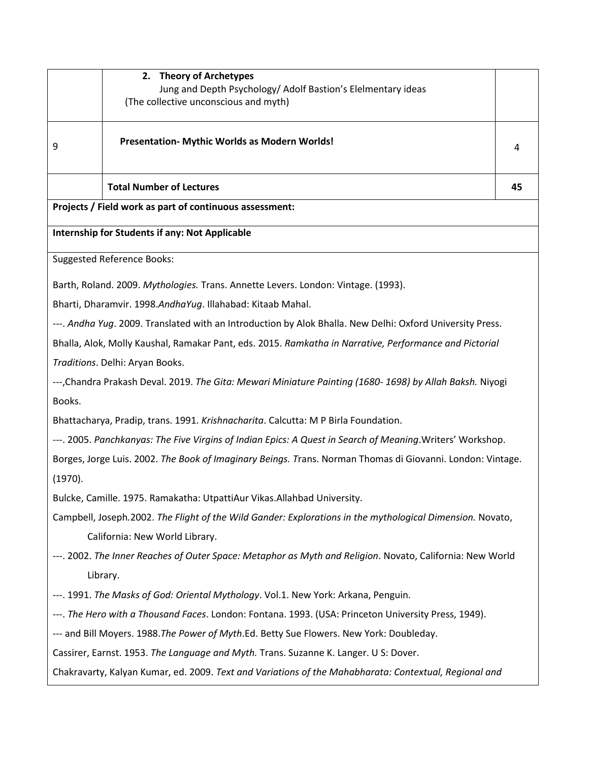|                                                                                                            | <b>Theory of Archetypes</b><br>2.<br>Jung and Depth Psychology/ Adolf Bastion's Elelmentary ideas<br>(The collective unconscious and myth) |    |  |  |  |  |
|------------------------------------------------------------------------------------------------------------|--------------------------------------------------------------------------------------------------------------------------------------------|----|--|--|--|--|
|                                                                                                            |                                                                                                                                            |    |  |  |  |  |
| 9                                                                                                          | Presentation- Mythic Worlds as Modern Worlds!                                                                                              |    |  |  |  |  |
|                                                                                                            | <b>Total Number of Lectures</b>                                                                                                            | 45 |  |  |  |  |
|                                                                                                            | Projects / Field work as part of continuous assessment:                                                                                    |    |  |  |  |  |
|                                                                                                            | <b>Internship for Students if any: Not Applicable</b>                                                                                      |    |  |  |  |  |
|                                                                                                            | <b>Suggested Reference Books:</b>                                                                                                          |    |  |  |  |  |
|                                                                                                            | Barth, Roland. 2009. Mythologies. Trans. Annette Levers. London: Vintage. (1993).                                                          |    |  |  |  |  |
|                                                                                                            | Bharti, Dharamvir. 1998.AndhaYug. Illahabad: Kitaab Mahal.                                                                                 |    |  |  |  |  |
|                                                                                                            | ---. Andha Yug. 2009. Translated with an Introduction by Alok Bhalla. New Delhi: Oxford University Press.                                  |    |  |  |  |  |
|                                                                                                            | Bhalla, Alok, Molly Kaushal, Ramakar Pant, eds. 2015. Ramkatha in Narrative, Performance and Pictorial                                     |    |  |  |  |  |
|                                                                                                            | Traditions. Delhi: Aryan Books.                                                                                                            |    |  |  |  |  |
|                                                                                                            | ---, Chandra Prakash Deval. 2019. The Gita: Mewari Miniature Painting (1680-1698) by Allah Baksh. Niyogi                                   |    |  |  |  |  |
| Books.                                                                                                     |                                                                                                                                            |    |  |  |  |  |
|                                                                                                            | Bhattacharya, Pradip, trans. 1991. Krishnacharita. Calcutta: M P Birla Foundation.                                                         |    |  |  |  |  |
|                                                                                                            | ---. 2005. Panchkanyas: The Five Virgins of Indian Epics: A Quest in Search of Meaning Writers' Workshop.                                  |    |  |  |  |  |
| Borges, Jorge Luis. 2002. The Book of Imaginary Beings. Trans. Norman Thomas di Giovanni. London: Vintage. |                                                                                                                                            |    |  |  |  |  |
| (1970).                                                                                                    |                                                                                                                                            |    |  |  |  |  |
|                                                                                                            | Bulcke, Camille. 1975. Ramakatha: UtpattiAur Vikas. Allahbad University.                                                                   |    |  |  |  |  |
| Campbell, Joseph.2002. The Flight of the Wild Gander: Explorations in the mythological Dimension. Novato,  |                                                                                                                                            |    |  |  |  |  |
|                                                                                                            | California: New World Library.                                                                                                             |    |  |  |  |  |
|                                                                                                            | ---. 2002. The Inner Reaches of Outer Space: Metaphor as Myth and Religion. Novato, California: New World                                  |    |  |  |  |  |
|                                                                                                            | Library.                                                                                                                                   |    |  |  |  |  |
|                                                                                                            | ---. 1991. The Masks of God: Oriental Mythology. Vol.1. New York: Arkana, Penguin.                                                         |    |  |  |  |  |
| ---. The Hero with a Thousand Faces. London: Fontana. 1993. (USA: Princeton University Press, 1949).       |                                                                                                                                            |    |  |  |  |  |
| --- and Bill Moyers. 1988. The Power of Myth. Ed. Betty Sue Flowers. New York: Doubleday.                  |                                                                                                                                            |    |  |  |  |  |
|                                                                                                            | Cassirer, Earnst. 1953. The Language and Myth. Trans. Suzanne K. Langer. U S: Dover.                                                       |    |  |  |  |  |

Chakravarty, Kalyan Kumar, ed. 2009. *Text and Variations of the Mahabharata: Contextual, Regional and*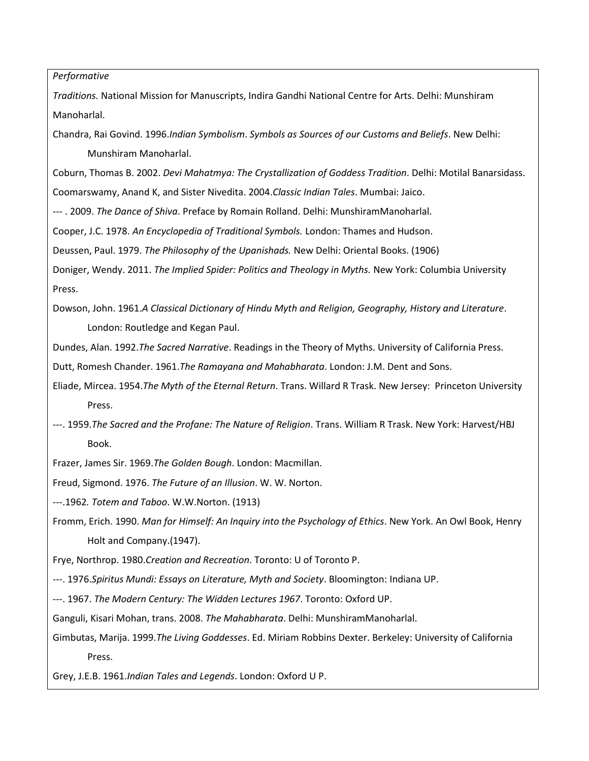*Performative* 

*Traditions.* National Mission for Manuscripts, Indira Gandhi National Centre for Arts. Delhi: Munshiram Manoharlal.

Chandra, Rai Govind. 1996.*Indian Symbolism*. *Symbols as Sources of our Customs and Beliefs*. New Delhi: Munshiram Manoharlal.

Coburn, Thomas B. 2002. *Devi Mahatmya: The Crystallization of Goddess Tradition*. Delhi: Motilal Banarsidass.

Coomarswamy, Anand K, and Sister Nivedita. 2004.*Classic Indian Tales*. Mumbai: Jaico.

--- . 2009. *The Dance of Shiva*. Preface by Romain Rolland. Delhi: MunshiramManoharlal.

Cooper, J.C. 1978. *An Encyclopedia of Traditional Symbols.* London: Thames and Hudson.

Deussen, Paul. 1979. *The Philosophy of the Upanishads.* New Delhi: Oriental Books. (1906)

Doniger, Wendy. 2011. *The Implied Spider: Politics and Theology in Myths.* New York: Columbia University Press.

Dowson, John. 1961.*A Classical Dictionary of Hindu Myth and Religion, Geography, History and Literature*. London: Routledge and Kegan Paul.

Dundes, Alan. 1992.*The Sacred Narrative*. Readings in the Theory of Myths. University of California Press.

Dutt, Romesh Chander. 1961.*The Ramayana and Mahabharata*. London: J.M. Dent and Sons.

Eliade, Mircea. 1954.*The Myth of the Eternal Return*. Trans. Willard R Trask. New Jersey: Princeton University Press.

---. 1959.*The Sacred and the Profane: The Nature of Religion*. Trans. William R Trask. New York: Harvest/HBJ Book.

Frazer, James Sir. 1969.*The Golden Bough*. London: Macmillan.

Freud, Sigmond. 1976. *The Future of an Illusion*. W. W. Norton.

---.1962*. Totem and Taboo*. W.W.Norton. (1913)

Fromm, Erich. 1990. *Man for Himself: An Inquiry into the Psychology of Ethics*. New York. An Owl Book, Henry Holt and Company.(1947).

Frye, Northrop. 1980.*Creation and Recreation*. Toronto: U of Toronto P.

---. 1976.*Spiritus Mundi: Essays on Literature, Myth and Society*. Bloomington: Indiana UP.

---. 1967. *The Modern Century: The Widden Lectures 1967*. Toronto: Oxford UP.

Ganguli, Kisari Mohan, trans. 2008. *The Mahabharata*. Delhi: MunshiramManoharlal.

Gimbutas, Marija. 1999.*The Living Goddesses*. Ed. Miriam Robbins Dexter. Berkeley: University of California Press.

Grey, J.E.B. 1961.*Indian Tales and Legends*. London: Oxford U P.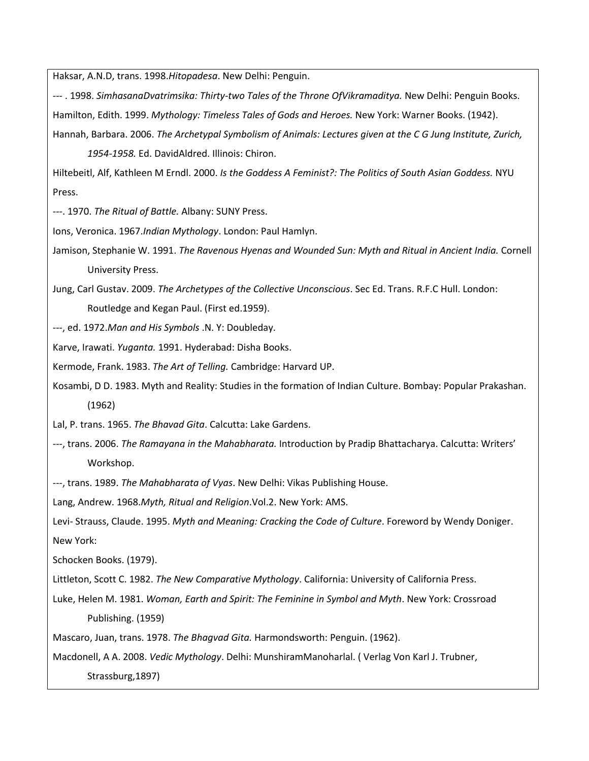Haksar, A.N.D, trans. 1998.*Hitopadesa*. New Delhi: Penguin.

- --- . 1998. *SimhasanaDvatrimsika: Thirty-two Tales of the Throne OfVikramaditya.* New Delhi: Penguin Books. Hamilton, Edith. 1999. *Mythology: Timeless Tales of Gods and Heroes.* New York: Warner Books. (1942).
- Hannah, Barbara. 2006. *The Archetypal Symbolism of Animals: Lectures given at the C G Jung Institute, Zurich,*

*1954-1958.* Ed. DavidAldred. Illinois: Chiron.

Hiltebeitl, Alf, Kathleen M Erndl. 2000. *Is the Goddess A Feminist?: The Politics of South Asian Goddess.* NYU Press.

---. 1970. *The Ritual of Battle.* Albany: SUNY Press.

Ions, Veronica. 1967.*Indian Mythology*. London: Paul Hamlyn.

Jamison, Stephanie W. 1991. *The Ravenous Hyenas and Wounded Sun: Myth and Ritual in Ancient India.* Cornell University Press.

Jung, Carl Gustav. 2009. *The Archetypes of the Collective Unconscious*. Sec Ed. Trans. R.F.C Hull. London: Routledge and Kegan Paul. (First ed.1959).

---, ed. 1972.*Man and His Symbols* .N. Y: Doubleday.

Karve, Irawati. *Yuganta.* 1991. Hyderabad: Disha Books.

Kermode, Frank. 1983. *The Art of Telling.* Cambridge: Harvard UP.

Kosambi, D D. 1983. Myth and Reality: Studies in the formation of Indian Culture. Bombay: Popular Prakashan. (1962)

Lal, P. trans. 1965. *The Bhavad Gita*. Calcutta: Lake Gardens.

---, trans. 2006. *The Ramayana in the Mahabharata.* Introduction by Pradip Bhattacharya. Calcutta: Writers' Workshop.

---, trans. 1989. *The Mahabharata of Vyas*. New Delhi: Vikas Publishing House.

Lang, Andrew. 1968.*Myth, Ritual and Religion*.Vol.2. New York: AMS.

Levi- Strauss, Claude. 1995. *Myth and Meaning: Cracking the Code of Culture*. Foreword by Wendy Doniger. New York:

Schocken Books. (1979).

Littleton, Scott C. 1982. *The New Comparative Mythology*. California: University of California Press.

Luke, Helen M. 1981. *Woman, Earth and Spirit: The Feminine in Symbol and Myth*. New York: Crossroad Publishing. (1959)

Mascaro, Juan, trans. 1978. *The Bhagvad Gita.* Harmondsworth: Penguin. (1962).

Macdonell, A A. 2008. *Vedic Mythology*. Delhi: MunshiramManoharlal. ( Verlag Von Karl J. Trubner,

Strassburg,1897)